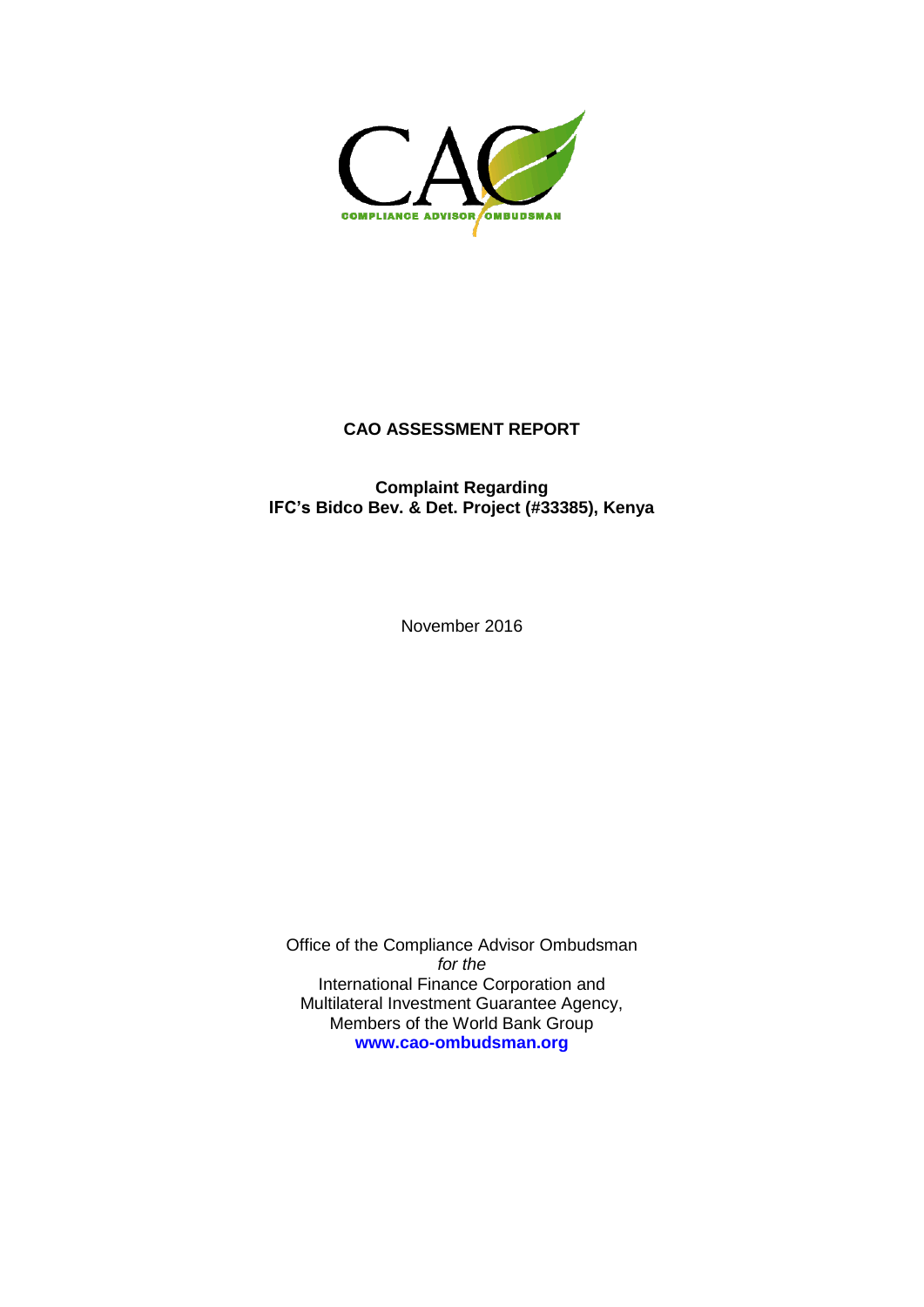

# **CAO ASSESSMENT REPORT**

# **Complaint Regarding IFC's Bidco Bev. & Det. Project (#33385), Kenya**

November 2016

Office of the Compliance Advisor Ombudsman *for the* International Finance Corporation and Multilateral Investment Guarantee Agency, Members of the World Bank Group **[www.cao-ombudsman.org](http://www.cao-ombudsman.org/)**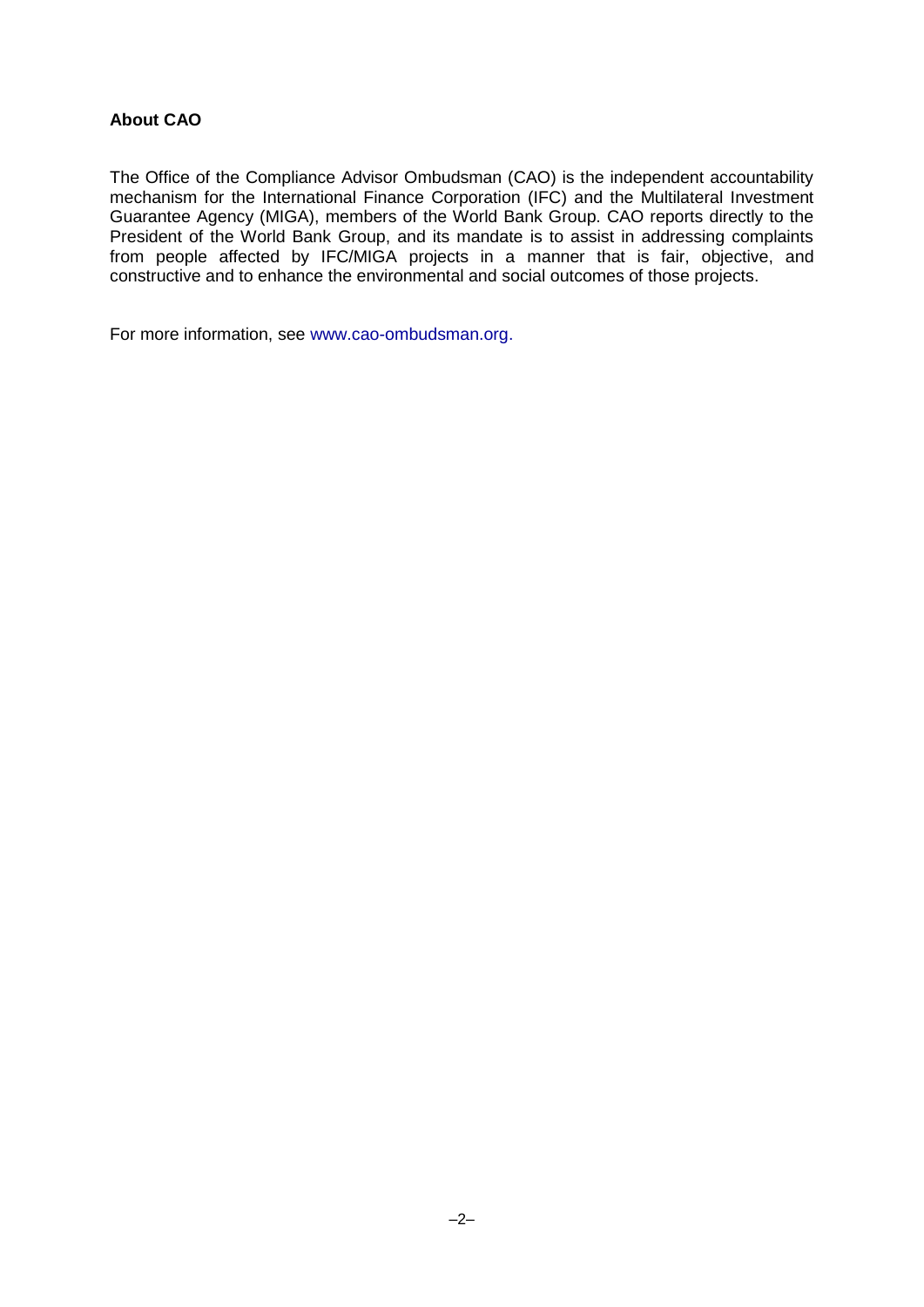# **About CAO**

The Office of the Compliance Advisor Ombudsman (CAO) is the independent accountability mechanism for the International Finance Corporation (IFC) and the Multilateral Investment Guarantee Agency (MIGA), members of the World Bank Group. CAO reports directly to the President of the World Bank Group, and its mandate is to assist in addressing complaints from people affected by IFC/MIGA projects in a manner that is fair, objective, and constructive and to enhance the environmental and social outcomes of those projects.

For more information, see www.cao-ombudsman.org.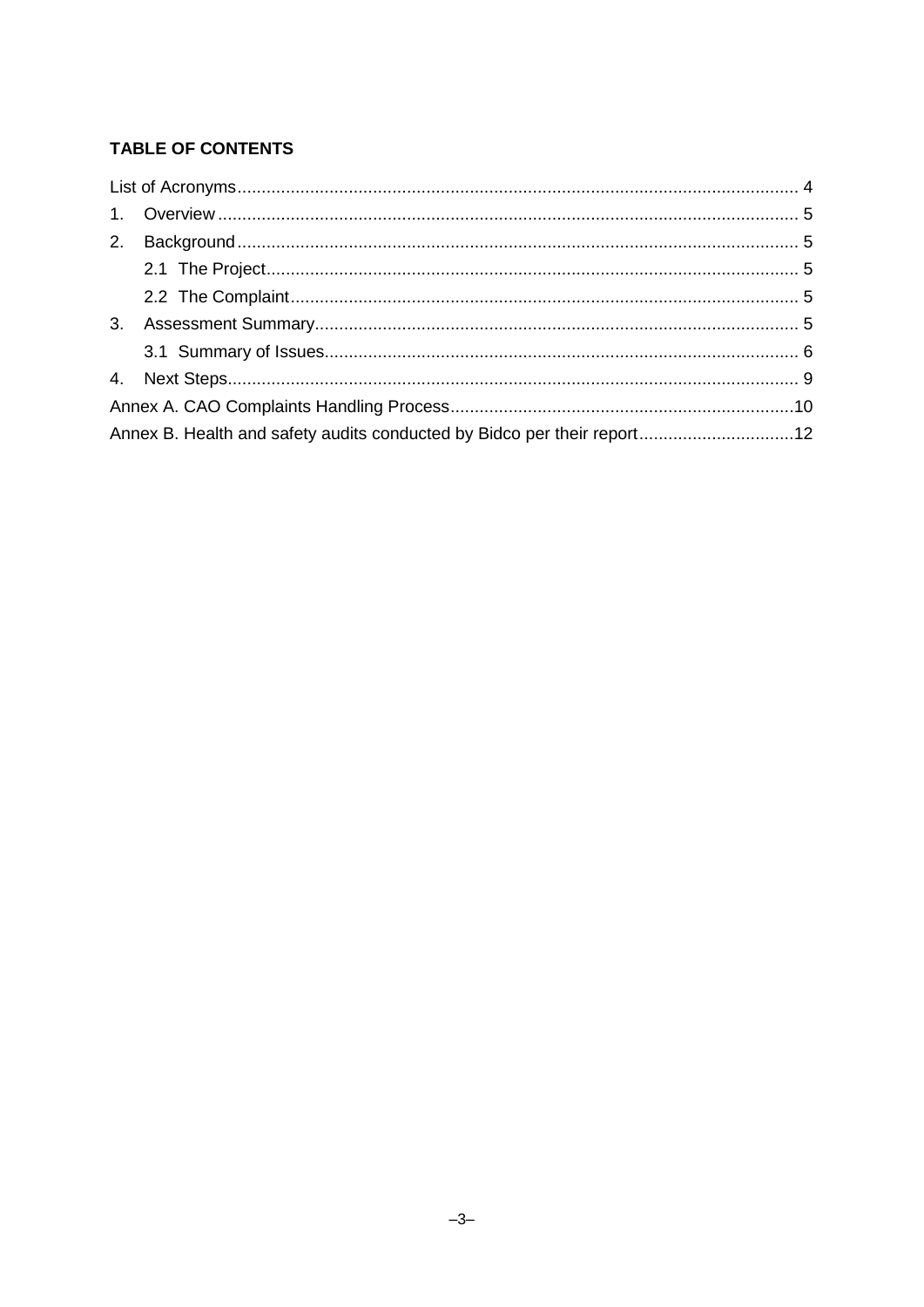# TABLE OF CONTENTS

| Annex B. Health and safety audits conducted by Bidco per their report12 |  |  |  |  |
|-------------------------------------------------------------------------|--|--|--|--|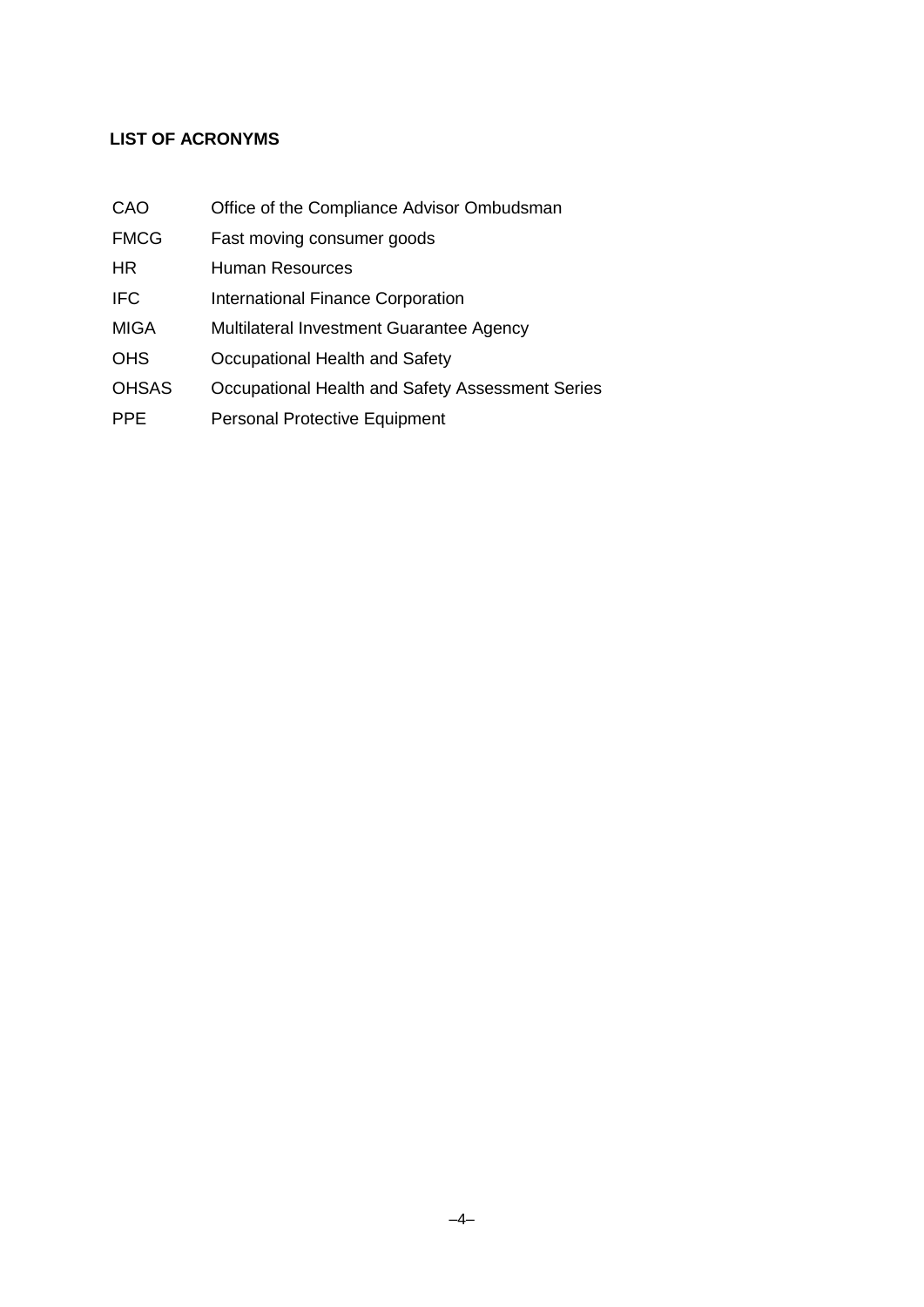# <span id="page-3-0"></span>**LIST OF ACRONYMS**

| CAO          | Office of the Compliance Advisor Ombudsman       |
|--------------|--------------------------------------------------|
| <b>FMCG</b>  | Fast moving consumer goods                       |
| HR.          | <b>Human Resources</b>                           |
| <b>IFC</b>   | <b>International Finance Corporation</b>         |
| <b>MIGA</b>  | Multilateral Investment Guarantee Agency         |
| <b>OHS</b>   | Occupational Health and Safety                   |
| <b>OHSAS</b> | Occupational Health and Safety Assessment Series |
| <b>PPE</b>   | <b>Personal Protective Equipment</b>             |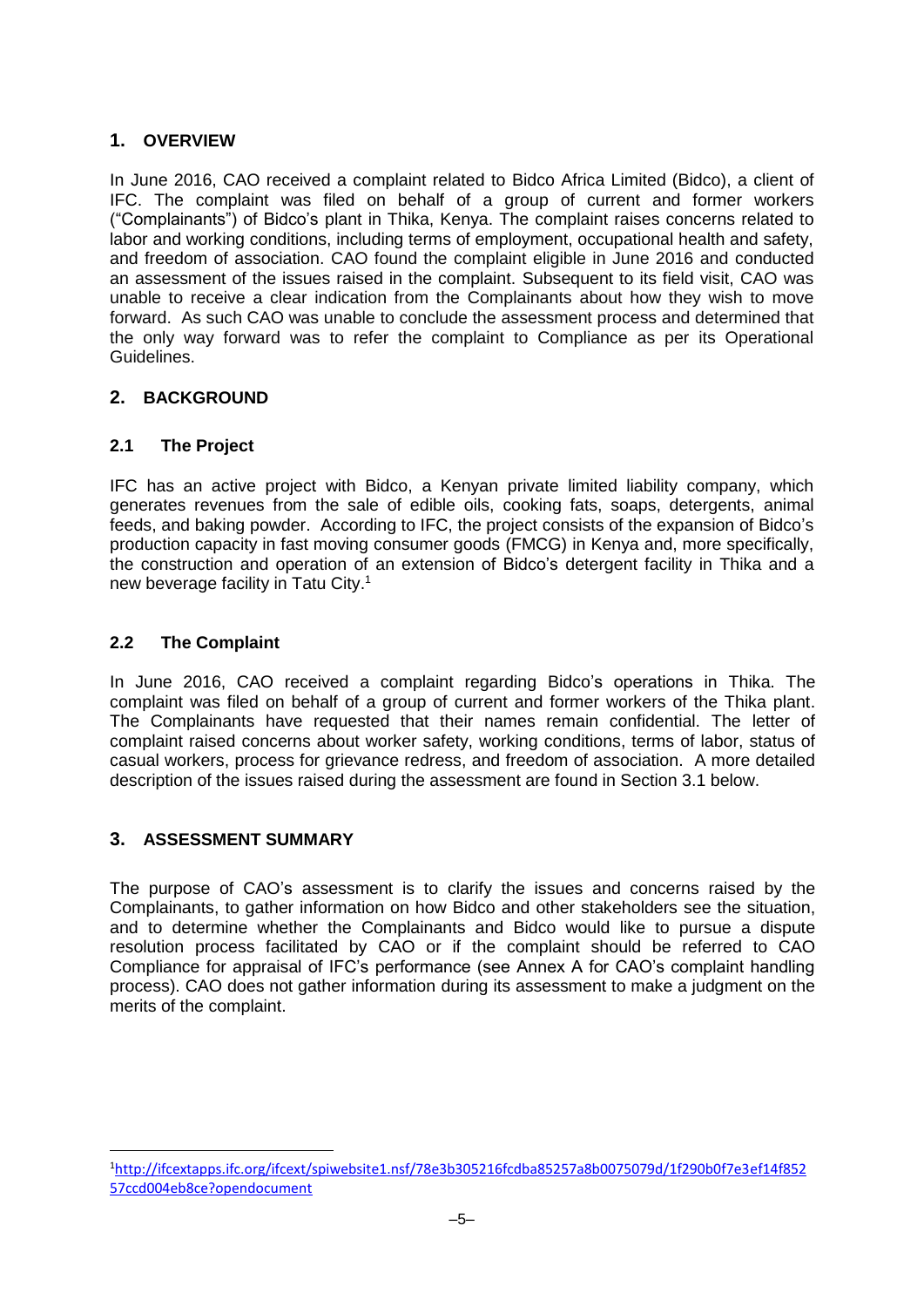# <span id="page-4-0"></span>**1. OVERVIEW**

In June 2016, CAO received a complaint related to Bidco Africa Limited (Bidco), a client of IFC. The complaint was filed on behalf of a group of current and former workers ("Complainants") of Bidco's plant in Thika, Kenya. The complaint raises concerns related to labor and working conditions, including terms of employment, occupational health and safety, and freedom of association. CAO found the complaint eligible in June 2016 and conducted an assessment of the issues raised in the complaint. Subsequent to its field visit, CAO was unable to receive a clear indication from the Complainants about how they wish to move forward. As such CAO was unable to conclude the assessment process and determined that the only way forward was to refer the complaint to Compliance as per its Operational Guidelines.

# <span id="page-4-1"></span>**2. BACKGROUND**

# <span id="page-4-2"></span>**2.1 The Project**

IFC has an active project with Bidco, a Kenyan private limited liability company, which generates revenues from the sale of edible oils, cooking fats, soaps, detergents, animal feeds, and baking powder. According to IFC, the project consists of the expansion of Bidco's production capacity in fast moving consumer goods (FMCG) in Kenya and, more specifically, the construction and operation of an extension of Bidco's detergent facility in Thika and a new beverage facility in Tatu City.<sup>1</sup>

#### <span id="page-4-3"></span>**2.2 The Complaint**

In June 2016, CAO received a complaint regarding Bidco's operations in Thika. The complaint was filed on behalf of a group of current and former workers of the Thika plant. The Complainants have requested that their names remain confidential. The letter of complaint raised concerns about worker safety, working conditions, terms of labor, status of casual workers, process for grievance redress, and freedom of association. A more detailed description of the issues raised during the assessment are found in Section 3.1 below.

# <span id="page-4-4"></span>**3. ASSESSMENT SUMMARY**

1

The purpose of CAO's assessment is to clarify the issues and concerns raised by the Complainants, to gather information on how Bidco and other stakeholders see the situation, and to determine whether the Complainants and Bidco would like to pursue a dispute resolution process facilitated by CAO or if the complaint should be referred to CAO Compliance for appraisal of IFC's performance (see Annex A for CAO's complaint handling process). CAO does not gather information during its assessment to make a judgment on the merits of the complaint.

<sup>1</sup>[http://ifcextapps.ifc.org/ifcext/spiwebsite1.nsf/78e3b305216fcdba85257a8b0075079d/1f290b0f7e3ef14f852](http://ifcextapps.ifc.org/ifcext/spiwebsite1.nsf/78e3b305216fcdba85257a8b0075079d/1f290b0f7e3ef14f85257ccd004eb8ce?opendocument) [57ccd004eb8ce?opendocument](http://ifcextapps.ifc.org/ifcext/spiwebsite1.nsf/78e3b305216fcdba85257a8b0075079d/1f290b0f7e3ef14f85257ccd004eb8ce?opendocument)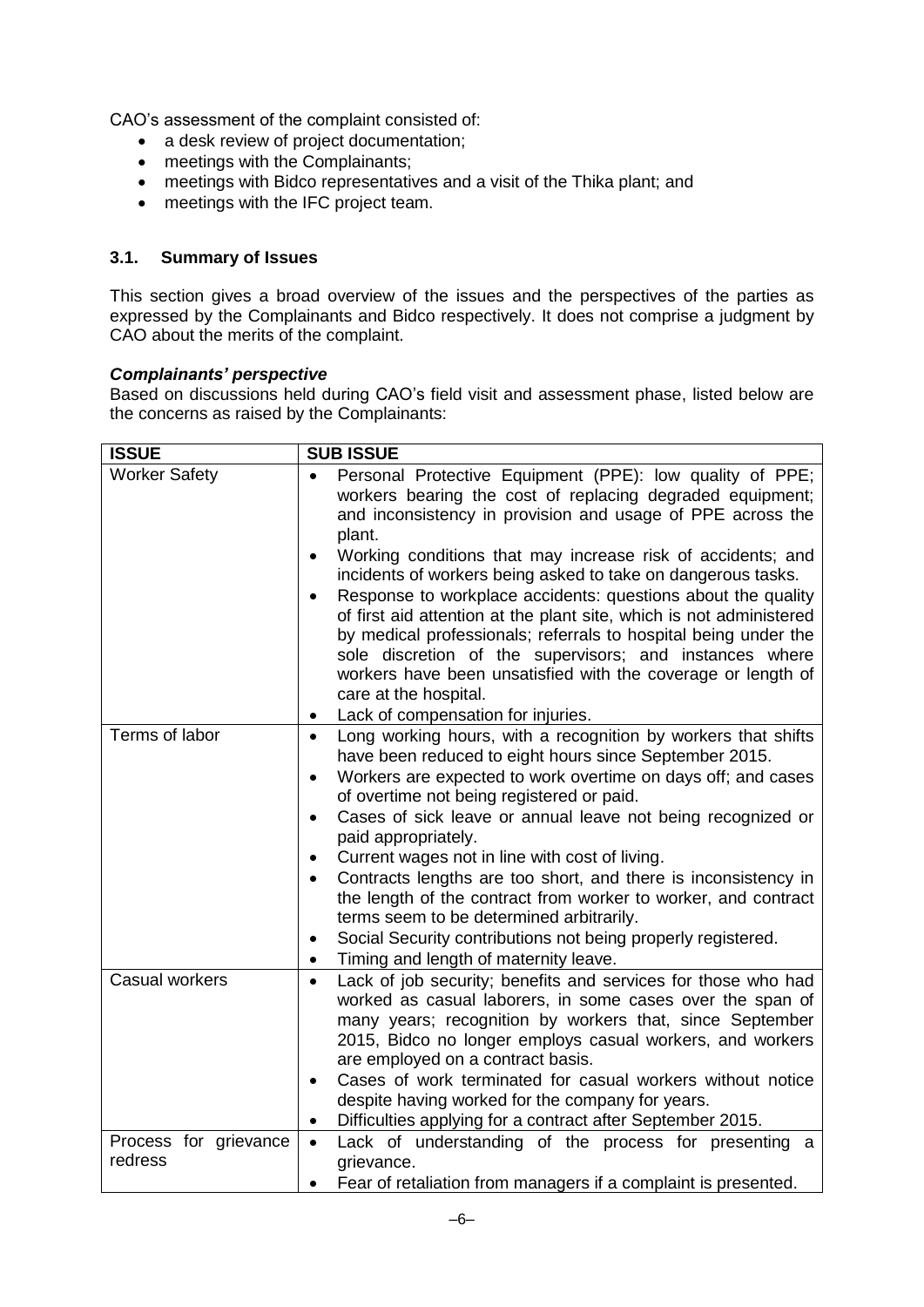CAO's assessment of the complaint consisted of:

- a desk review of project documentation;
- meetings with the Complainants;
- meetings with Bidco representatives and a visit of the Thika plant; and
- meetings with the IFC project team.

#### <span id="page-5-0"></span>**3.1. Summary of Issues**

This section gives a broad overview of the issues and the perspectives of the parties as expressed by the Complainants and Bidco respectively. It does not comprise a judgment by CAO about the merits of the complaint.

#### *Complainants' perspective*

Based on discussions held during CAO's field visit and assessment phase, listed below are the concerns as raised by the Complainants:

| <b>ISSUE</b>                     | <b>SUB ISSUE</b>                                                                                                                                                                                                                                                                                                                                                                                                                                                                                                                                                                                                                                                                                                                                                 |  |  |
|----------------------------------|------------------------------------------------------------------------------------------------------------------------------------------------------------------------------------------------------------------------------------------------------------------------------------------------------------------------------------------------------------------------------------------------------------------------------------------------------------------------------------------------------------------------------------------------------------------------------------------------------------------------------------------------------------------------------------------------------------------------------------------------------------------|--|--|
| <b>Worker Safety</b>             | Personal Protective Equipment (PPE): low quality of PPE;<br>workers bearing the cost of replacing degraded equipment;<br>and inconsistency in provision and usage of PPE across the<br>plant.<br>Working conditions that may increase risk of accidents; and<br>incidents of workers being asked to take on dangerous tasks.<br>Response to workplace accidents: questions about the quality<br>of first aid attention at the plant site, which is not administered<br>by medical professionals; referrals to hospital being under the<br>sole discretion of the supervisors; and instances where<br>workers have been unsatisfied with the coverage or length of<br>care at the hospital.<br>Lack of compensation for injuries.<br>٠                            |  |  |
| Terms of labor                   | Long working hours, with a recognition by workers that shifts<br>$\bullet$<br>have been reduced to eight hours since September 2015.<br>Workers are expected to work overtime on days off; and cases<br>$\bullet$<br>of overtime not being registered or paid.<br>Cases of sick leave or annual leave not being recognized or<br>$\bullet$<br>paid appropriately.<br>Current wages not in line with cost of living.<br>$\bullet$<br>Contracts lengths are too short, and there is inconsistency in<br>$\bullet$<br>the length of the contract from worker to worker, and contract<br>terms seem to be determined arbitrarily.<br>Social Security contributions not being properly registered.<br>$\bullet$<br>Timing and length of maternity leave.<br>$\bullet$ |  |  |
| Casual workers                   | Lack of job security; benefits and services for those who had<br>$\bullet$<br>worked as casual laborers, in some cases over the span of<br>many years; recognition by workers that, since September<br>2015, Bidco no longer employs casual workers, and workers<br>are employed on a contract basis.<br>Cases of work terminated for casual workers without notice<br>$\bullet$<br>despite having worked for the company for years.<br>Difficulties applying for a contract after September 2015.<br>٠                                                                                                                                                                                                                                                          |  |  |
| Process for grievance<br>redress | Lack of understanding of the process for presenting a<br>$\bullet$<br>grievance.<br>Fear of retaliation from managers if a complaint is presented.                                                                                                                                                                                                                                                                                                                                                                                                                                                                                                                                                                                                               |  |  |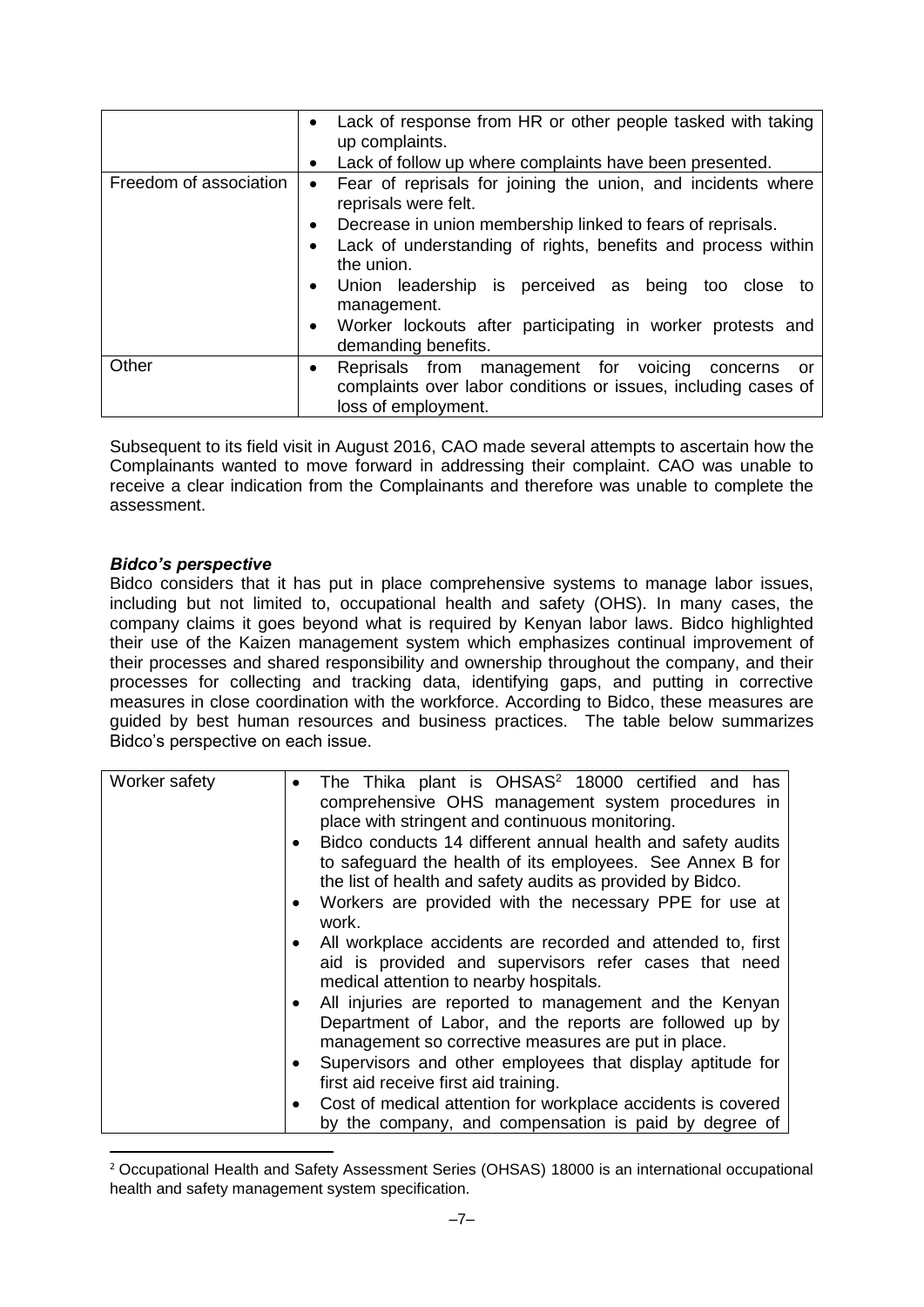|                        | Lack of response from HR or other people tasked with taking<br>up complaints.<br>Lack of follow up where complaints have been presented.                                                                                                                                                                                                                                                                                                        |  |  |  |
|------------------------|-------------------------------------------------------------------------------------------------------------------------------------------------------------------------------------------------------------------------------------------------------------------------------------------------------------------------------------------------------------------------------------------------------------------------------------------------|--|--|--|
| Freedom of association | Fear of reprisals for joining the union, and incidents where<br>$\bullet$<br>reprisals were felt.<br>Decrease in union membership linked to fears of reprisals.<br>$\bullet$<br>Lack of understanding of rights, benefits and process within<br>the union.<br>Union leadership is perceived as being too close to<br>$\bullet$<br>management.<br>Worker lockouts after participating in worker protests and<br>$\bullet$<br>demanding benefits. |  |  |  |
| Other                  | Reprisals from management for voicing<br>concerns<br>or<br>$\bullet$<br>complaints over labor conditions or issues, including cases of<br>loss of employment.                                                                                                                                                                                                                                                                                   |  |  |  |

Subsequent to its field visit in August 2016, CAO made several attempts to ascertain how the Complainants wanted to move forward in addressing their complaint. CAO was unable to receive a clear indication from the Complainants and therefore was unable to complete the assessment.

#### *Bidco's perspective*

1

Bidco considers that it has put in place comprehensive systems to manage labor issues, including but not limited to, occupational health and safety (OHS). In many cases, the company claims it goes beyond what is required by Kenyan labor laws. Bidco highlighted their use of the Kaizen management system which emphasizes continual improvement of their processes and shared responsibility and ownership throughout the company, and their processes for collecting and tracking data, identifying gaps, and putting in corrective measures in close coordination with the workforce. According to Bidco, these measures are guided by best human resources and business practices. The table below summarizes Bidco's perspective on each issue.

| Worker safety | The Thika plant is OHSAS <sup>2</sup> 18000 certified and has<br>comprehensive OHS management system procedures in<br>place with stringent and continuous monitoring.                  |
|---------------|----------------------------------------------------------------------------------------------------------------------------------------------------------------------------------------|
|               | Bidco conducts 14 different annual health and safety audits<br>to safeguard the health of its employees. See Annex B for<br>the list of health and safety audits as provided by Bidco. |
|               | Workers are provided with the necessary PPE for use at<br>work.                                                                                                                        |
|               | All workplace accidents are recorded and attended to, first<br>aid is provided and supervisors refer cases that need<br>medical attention to nearby hospitals.                         |
|               | All injuries are reported to management and the Kenyan<br>Department of Labor, and the reports are followed up by<br>management so corrective measures are put in place.               |
|               | Supervisors and other employees that display aptitude for<br>first aid receive first aid training.                                                                                     |
|               | Cost of medical attention for workplace accidents is covered<br>by the company, and compensation is paid by degree of                                                                  |

<sup>2</sup> Occupational Health and Safety Assessment Series (OHSAS) 18000 is an international occupational health and safety management system specification.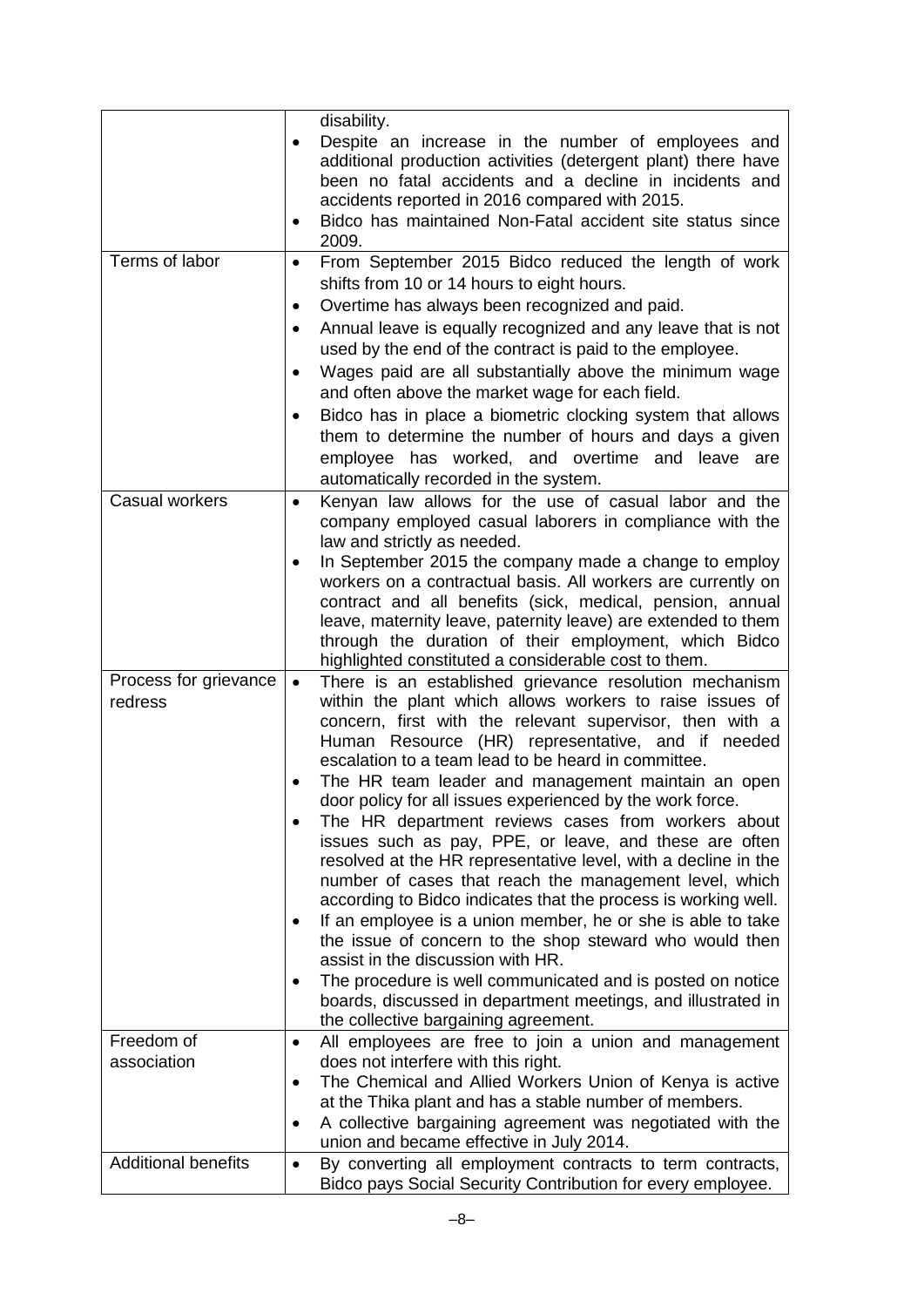| Terms of labor                   | $\bullet$<br>$\bullet$<br>$\bullet$ | disability.<br>Despite an increase in the number of employees and<br>additional production activities (detergent plant) there have<br>been no fatal accidents and a decline in incidents and<br>accidents reported in 2016 compared with 2015.<br>Bidco has maintained Non-Fatal accident site status since<br>2009.<br>From September 2015 Bidco reduced the length of work<br>shifts from 10 or 14 hours to eight hours.<br>Overtime has always been recognized and paid.                                                                                                                                                                                                                                                                                                                                                                                                                                                                                                                                                                                      |
|----------------------------------|-------------------------------------|------------------------------------------------------------------------------------------------------------------------------------------------------------------------------------------------------------------------------------------------------------------------------------------------------------------------------------------------------------------------------------------------------------------------------------------------------------------------------------------------------------------------------------------------------------------------------------------------------------------------------------------------------------------------------------------------------------------------------------------------------------------------------------------------------------------------------------------------------------------------------------------------------------------------------------------------------------------------------------------------------------------------------------------------------------------|
|                                  | ٠<br>٠<br>٠                         | Annual leave is equally recognized and any leave that is not<br>used by the end of the contract is paid to the employee.<br>Wages paid are all substantially above the minimum wage<br>and often above the market wage for each field.<br>Bidco has in place a biometric clocking system that allows<br>them to determine the number of hours and days a given<br>employee has worked, and overtime and leave are<br>automatically recorded in the system.                                                                                                                                                                                                                                                                                                                                                                                                                                                                                                                                                                                                       |
| Casual workers                   | $\bullet$<br>$\bullet$              | Kenyan law allows for the use of casual labor and the<br>company employed casual laborers in compliance with the<br>law and strictly as needed.<br>In September 2015 the company made a change to employ<br>workers on a contractual basis. All workers are currently on<br>contract and all benefits (sick, medical, pension, annual<br>leave, maternity leave, paternity leave) are extended to them<br>through the duration of their employment, which Bidco<br>highlighted constituted a considerable cost to them.                                                                                                                                                                                                                                                                                                                                                                                                                                                                                                                                          |
| Process for grievance<br>redress | $\bullet$                           | There is an established grievance resolution mechanism<br>within the plant which allows workers to raise issues of<br>concern, first with the relevant supervisor, then with a<br>Human Resource (HR) representative, and if needed<br>escalation to a team lead to be heard in committee.<br>The HR team leader and management maintain an open<br>door policy for all issues experienced by the work force.<br>The HR department reviews cases from workers about<br>issues such as pay, PPE, or leave, and these are often<br>resolved at the HR representative level, with a decline in the<br>number of cases that reach the management level, which<br>according to Bidco indicates that the process is working well.<br>If an employee is a union member, he or she is able to take<br>the issue of concern to the shop steward who would then<br>assist in the discussion with HR.<br>The procedure is well communicated and is posted on notice<br>boards, discussed in department meetings, and illustrated in<br>the collective bargaining agreement. |
| Freedom of<br>association        | $\bullet$<br>$\bullet$<br>٠         | All employees are free to join a union and management<br>does not interfere with this right.<br>The Chemical and Allied Workers Union of Kenya is active<br>at the Thika plant and has a stable number of members.<br>A collective bargaining agreement was negotiated with the<br>union and became effective in July 2014.                                                                                                                                                                                                                                                                                                                                                                                                                                                                                                                                                                                                                                                                                                                                      |
| <b>Additional benefits</b>       | $\bullet$                           | By converting all employment contracts to term contracts,<br>Bidco pays Social Security Contribution for every employee.                                                                                                                                                                                                                                                                                                                                                                                                                                                                                                                                                                                                                                                                                                                                                                                                                                                                                                                                         |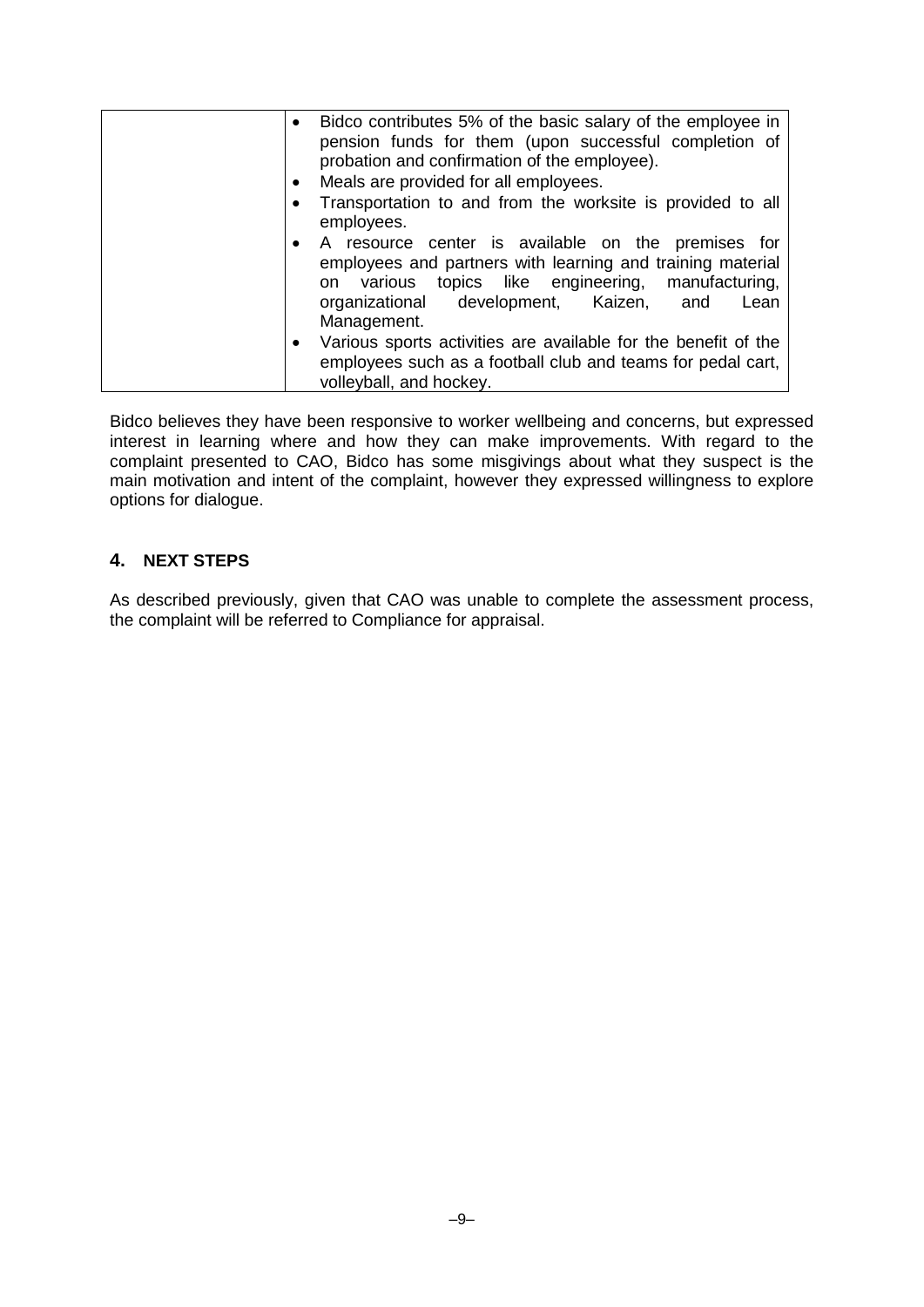| Bidco contributes 5% of the basic salary of the employee in<br>$\bullet$<br>pension funds for them (upon successful completion of<br>probation and confirmation of the employee).<br>Meals are provided for all employees.               |
|------------------------------------------------------------------------------------------------------------------------------------------------------------------------------------------------------------------------------------------|
|                                                                                                                                                                                                                                          |
| Transportation to and from the worksite is provided to all<br>employees.                                                                                                                                                                 |
| A resource center is available on the premises for<br>employees and partners with learning and training material<br>on various topics like engineering, manufacturing,<br>organizational development, Kaizen, and<br>Lean<br>Management. |
| Various sports activities are available for the benefit of the<br>employees such as a football club and teams for pedal cart,<br>volleyball, and hockey.                                                                                 |

Bidco believes they have been responsive to worker wellbeing and concerns, but expressed interest in learning where and how they can make improvements. With regard to the complaint presented to CAO, Bidco has some misgivings about what they suspect is the main motivation and intent of the complaint, however they expressed willingness to explore options for dialogue.

# <span id="page-8-0"></span>**4. NEXT STEPS**

<span id="page-8-1"></span>As described previously, given that CAO was unable to complete the assessment process, the complaint will be referred to Compliance for appraisal.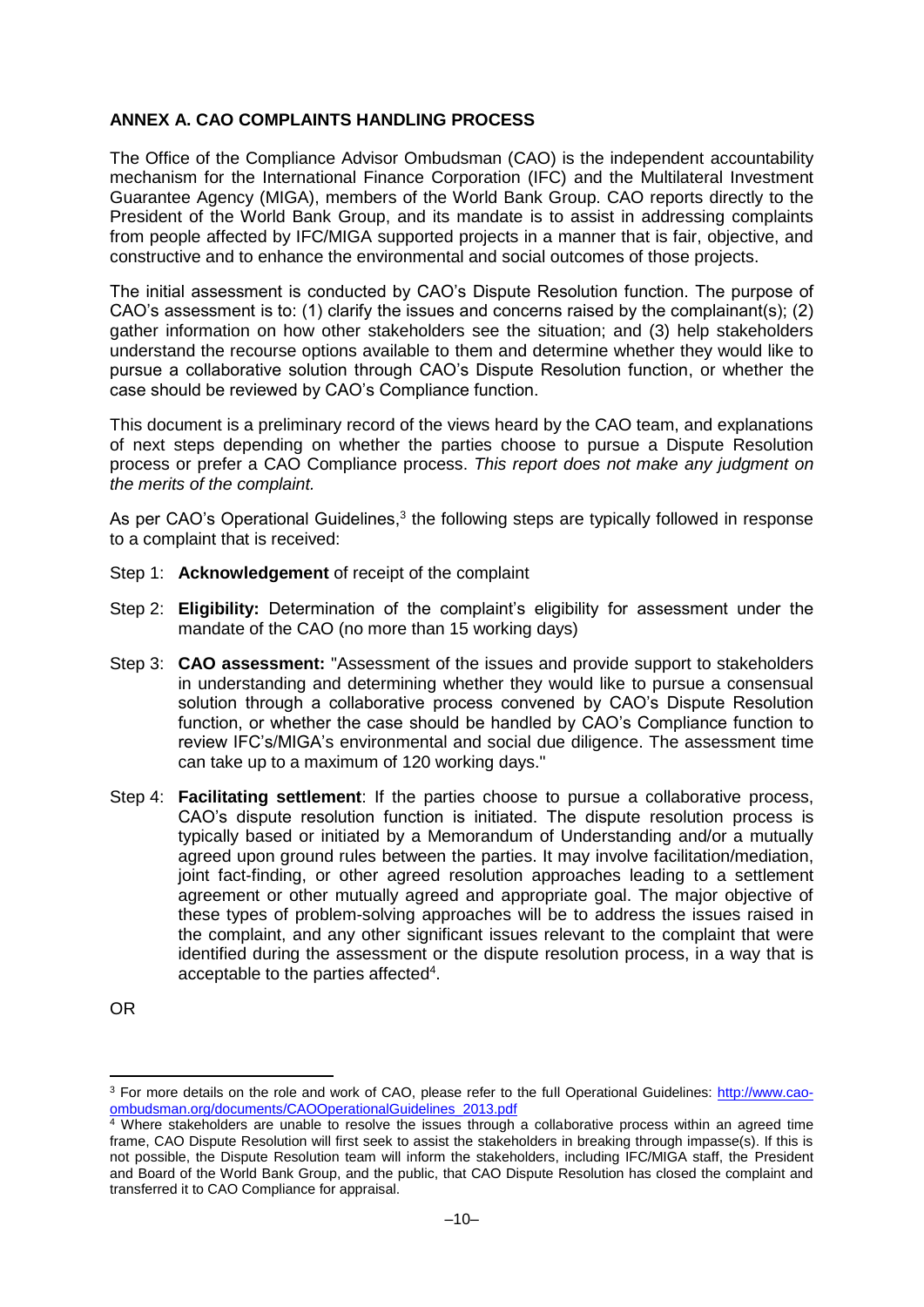### **ANNEX A. CAO COMPLAINTS HANDLING PROCESS**

The Office of the Compliance Advisor Ombudsman (CAO) is the independent accountability mechanism for the International Finance Corporation (IFC) and the Multilateral Investment Guarantee Agency (MIGA), members of the World Bank Group. CAO reports directly to the President of the World Bank Group, and its mandate is to assist in addressing complaints from people affected by IFC/MIGA supported projects in a manner that is fair, objective, and constructive and to enhance the environmental and social outcomes of those projects.

The initial assessment is conducted by CAO's Dispute Resolution function. The purpose of CAO's assessment is to: (1) clarify the issues and concerns raised by the complainant(s); (2) gather information on how other stakeholders see the situation; and (3) help stakeholders understand the recourse options available to them and determine whether they would like to pursue a collaborative solution through CAO's Dispute Resolution function, or whether the case should be reviewed by CAO's Compliance function.

This document is a preliminary record of the views heard by the CAO team, and explanations of next steps depending on whether the parties choose to pursue a Dispute Resolution process or prefer a CAO Compliance process. *This report does not make any judgment on the merits of the complaint.*

As per CAO's Operational Guidelines, $3$  the following steps are typically followed in response to a complaint that is received:

- Step 1: **Acknowledgement** of receipt of the complaint
- Step 2: **Eligibility:** Determination of the complaint's eligibility for assessment under the mandate of the CAO (no more than 15 working days)
- Step 3: **CAO assessment:** "Assessment of the issues and provide support to stakeholders in understanding and determining whether they would like to pursue a consensual solution through a collaborative process convened by CAO's Dispute Resolution function, or whether the case should be handled by CAO's Compliance function to review IFC's/MIGA's environmental and social due diligence. The assessment time can take up to a maximum of 120 working days."
- Step 4: **Facilitating settlement**: If the parties choose to pursue a collaborative process, CAO's dispute resolution function is initiated. The dispute resolution process is typically based or initiated by a Memorandum of Understanding and/or a mutually agreed upon ground rules between the parties. It may involve facilitation/mediation, joint fact-finding, or other agreed resolution approaches leading to a settlement agreement or other mutually agreed and appropriate goal. The major objective of these types of problem-solving approaches will be to address the issues raised in the complaint, and any other significant issues relevant to the complaint that were identified during the assessment or the dispute resolution process, in a way that is acceptable to the parties affected<sup>4</sup>.

OR

1

<sup>3</sup> For more details on the role and work of CAO, please refer to the full Operational Guidelines: [http://www.cao](http://www.cao-ombudsman.org/documents/CAOOperationalGuidelines_2013.pdf)[ombudsman.org/documents/CAOOperationalGuidelines\\_2013.pdf](http://www.cao-ombudsman.org/documents/CAOOperationalGuidelines_2013.pdf)

<sup>4</sup> Where stakeholders are unable to resolve the issues through a collaborative process within an agreed time frame, CAO Dispute Resolution will first seek to assist the stakeholders in breaking through impasse(s). If this is not possible, the Dispute Resolution team will inform the stakeholders, including IFC/MIGA staff, the President and Board of the World Bank Group, and the public, that CAO Dispute Resolution has closed the complaint and transferred it to CAO Compliance for appraisal.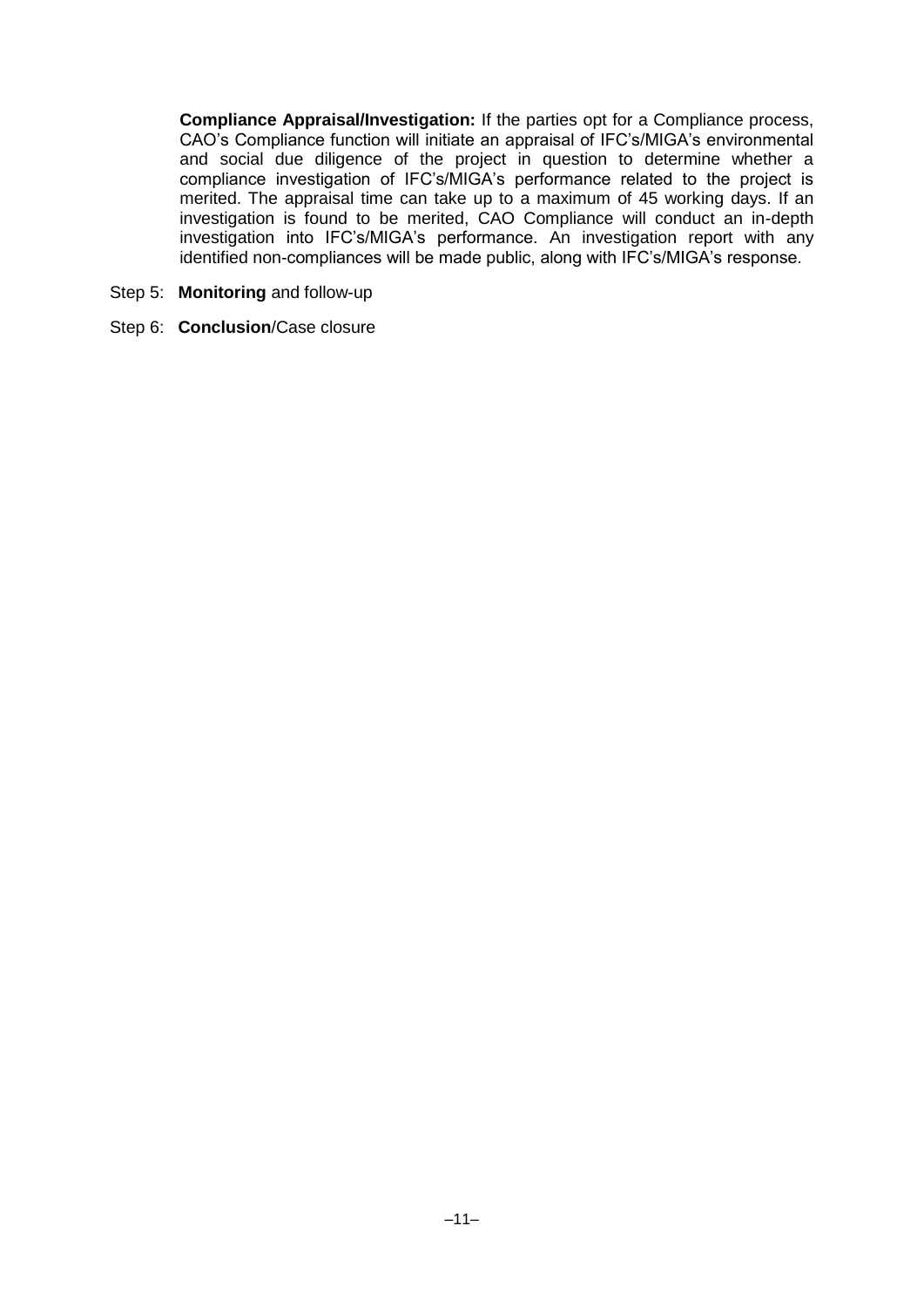**Compliance Appraisal/Investigation:** If the parties opt for a Compliance process, CAO's Compliance function will initiate an appraisal of IFC's/MIGA's environmental and social due diligence of the project in question to determine whether a compliance investigation of IFC's/MIGA's performance related to the project is merited. The appraisal time can take up to a maximum of 45 working days. If an investigation is found to be merited, CAO Compliance will conduct an in-depth investigation into IFC's/MIGA's performance. An investigation report with any identified non-compliances will be made public, along with IFC's/MIGA's response.

- Step 5: **Monitoring** and follow-up
- Step 6: **Conclusion**/Case closure